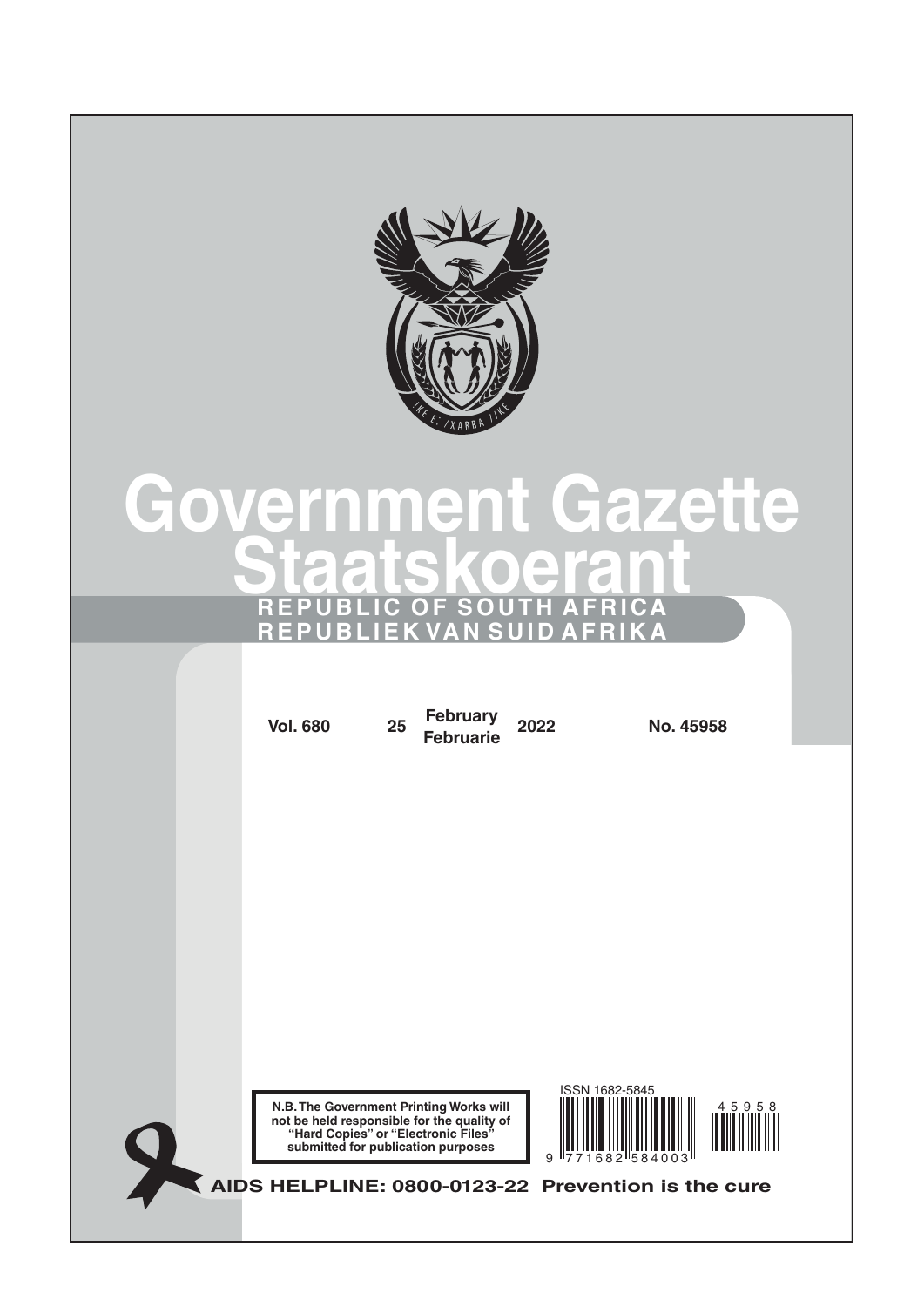

# **Government Gazette Staatskoerant REPUBLIC OF SOUTH AFRICA REPUBLIEK VAN SUID AFRIKA**

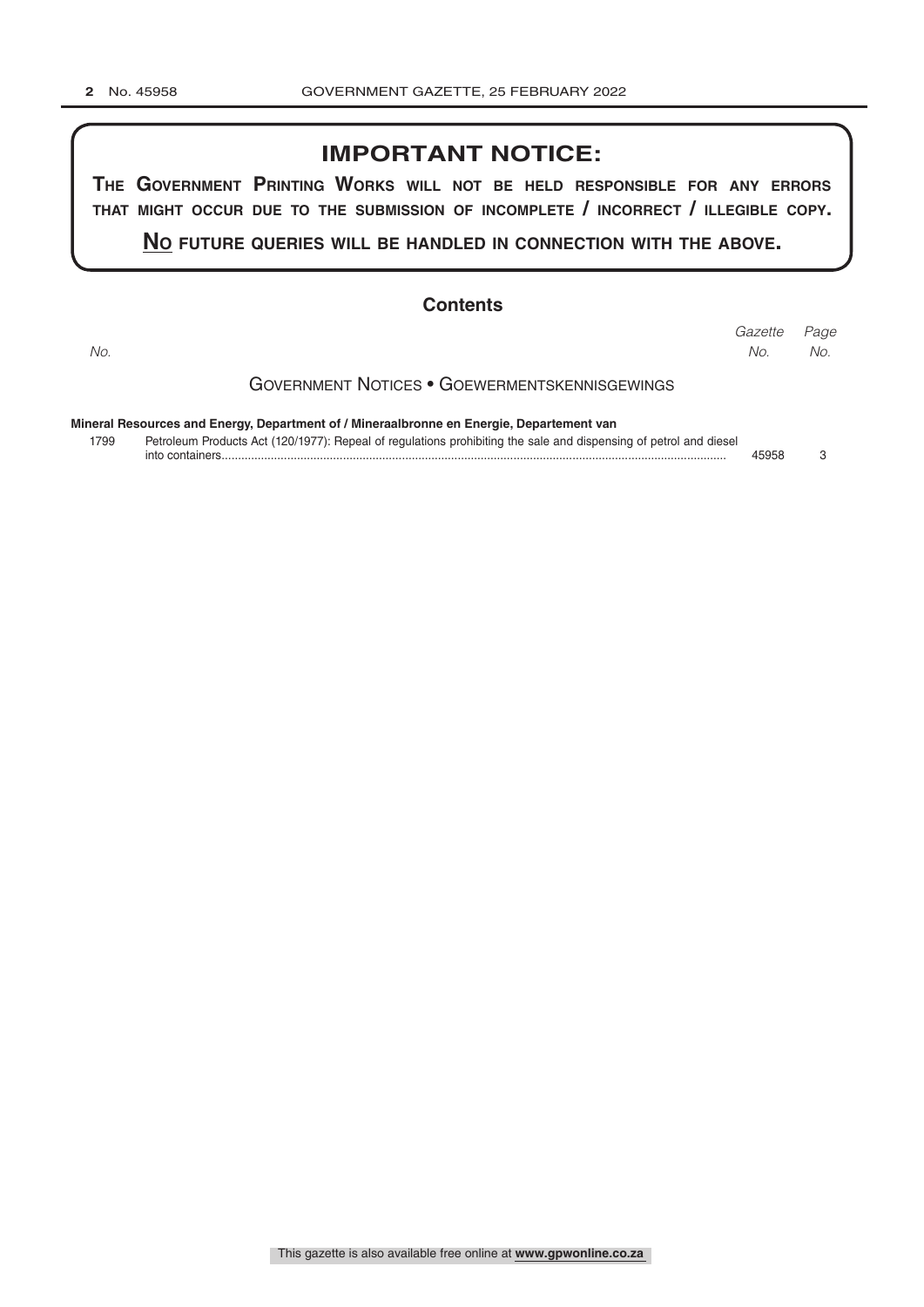## **IMPORTANT NOTICE:**

**The GovernmenT PrinTinG Works Will noT be held resPonsible for any errors ThaT miGhT occur due To The submission of incomPleTe / incorrecT / illeGible coPy.**

**no fuTure queries Will be handled in connecTion WiTh The above.**

#### **Contents**

Government Notices • Goewermentskennisgewings **Mineral Resources and Energy, Department of / Mineraalbronne en Energie, Departement van** *Page Gazette No. No. No.*

1799 Petroleum Products Act (120/1977): Repeal of regulations prohibiting the sale and dispensing of petrol and diesel into containers.......................................................................................................................................................... 45958 3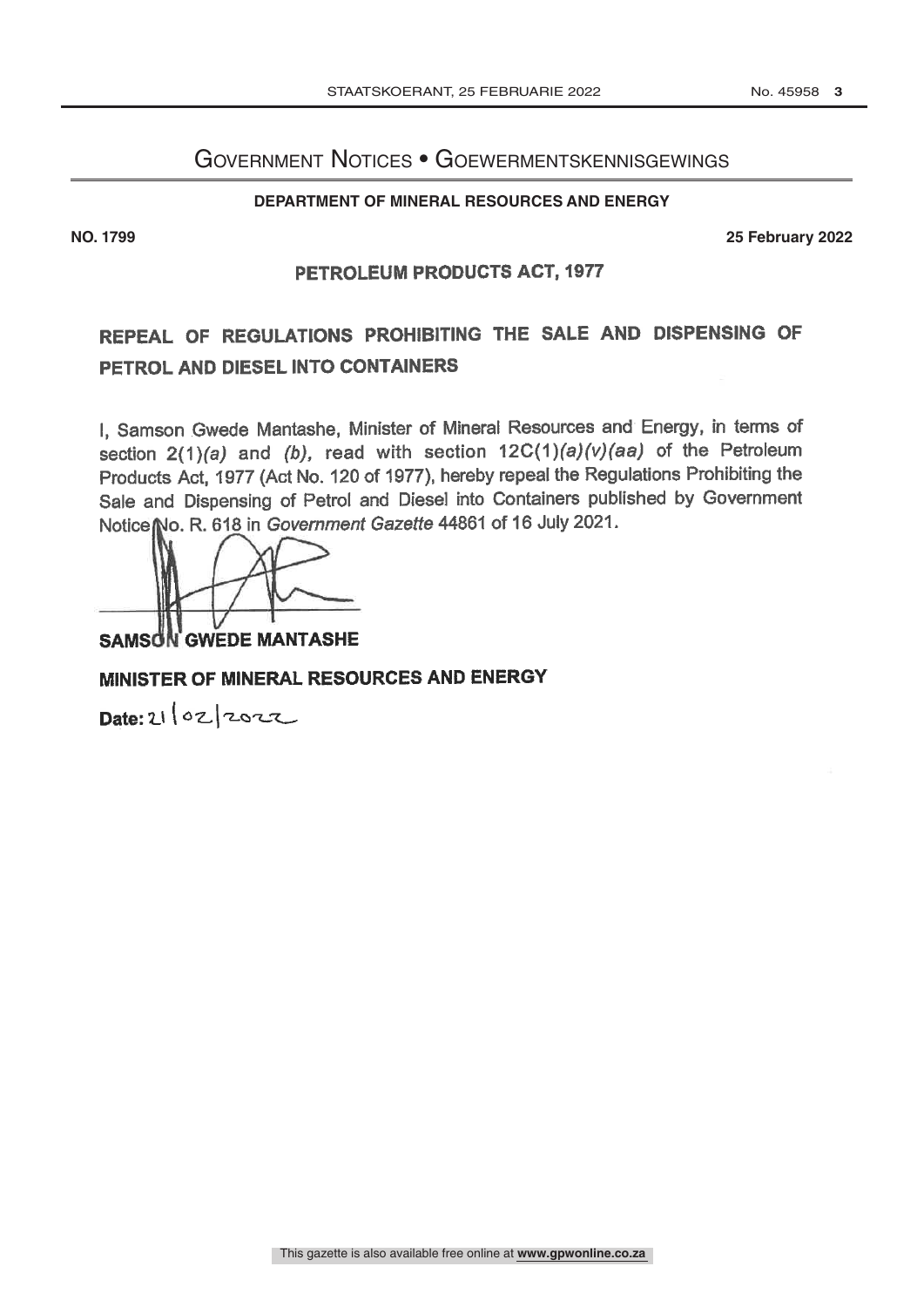# Government Notices • Goewermentskennisgewings

#### **DEPARTMENT OF MINERAL RESOURCES AND ENERGY**

**NO. 1799 25 February 2022**

#### PETROLEUM PRODUCTS ACT, 1977

# REPEAL OF REGULATIONS PROHIBITING THE SALE AND DISPENSING OF PETROL AND DIESEL INTO CONTAINERS

I, Samson Gwede Mantashe, Minister of Mineral Resources and Energy, in terms of section  $2(1)(a)$  and (b), read with section  $12C(1)(a)(v)(aa)$  of the Petroleum Products Act, 1977 (Act No. 120 of 1977), hereby repeal the Regulations Prohibiting the Sale and Dispensing of Petrol and Diesel into Containers published by Government Notice No. R. 618 in Government Gazette 44861 of 16 July 2021.

**SAMSON GWEDE MANTASHE** 

### MINISTER OF MINERAL RESOURCES AND ENERGY

Date: 21/02/2022